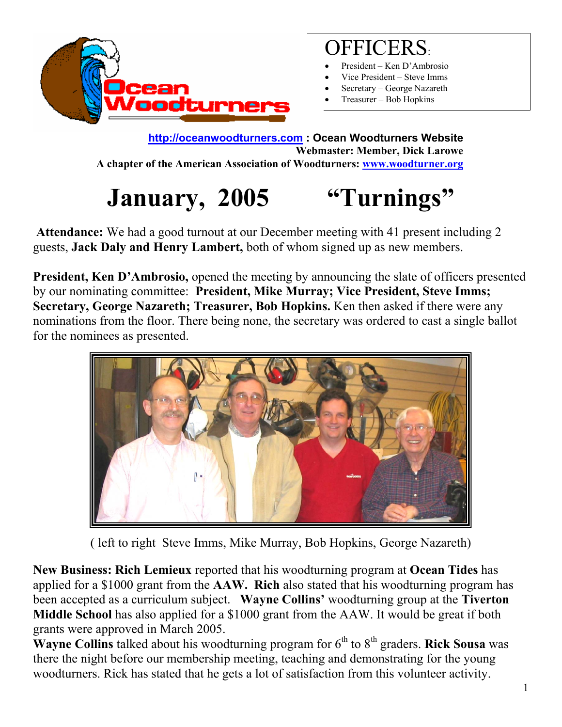

## OFFICERS:

- President Ken D'Ambrosio
- Vice President Steve Imms
- Secretary George Nazareth
- Treasurer Bob Hopkins

**[http://oceanwoodturners.com](http://oceanwoodturners.com/) : Ocean Woodturners Website Webmaster: Member, Dick Larowe A chapter of the American Association of Woodturners: [www.woodturner.org](http://www.woodturner.org/)**

# **January, 2005 "Turnings"**

 **Attendance:** We had a good turnout at our December meeting with 41 present including 2 guests, **Jack Daly and Henry Lambert,** both of whom signed up as new members.

**President, Ken D'Ambrosio,** opened the meeting by announcing the slate of officers presented by our nominating committee: **President, Mike Murray; Vice President, Steve Imms; Secretary, George Nazareth; Treasurer, Bob Hopkins.** Ken then asked if there were any nominations from the floor. There being none, the secretary was ordered to cast a single ballot for the nominees as presented.



( left to right Steve Imms, Mike Murray, Bob Hopkins, George Nazareth)

**New Business: Rich Lemieux** reported that his woodturning program at **Ocean Tides** has applied for a \$1000 grant from the **AAW. Rich** also stated that his woodturning program has been accepted as a curriculum subject. **Wayne Collins'** woodturning group at the **Tiverton Middle School** has also applied for a \$1000 grant from the AAW. It would be great if both grants were approved in March 2005.

**Wayne Collins** talked about his woodturning program for 6<sup>th</sup> to 8<sup>th</sup> graders. **Rick Sousa** was there the night before our membership meeting, teaching and demonstrating for the young woodturners. Rick has stated that he gets a lot of satisfaction from this volunteer activity.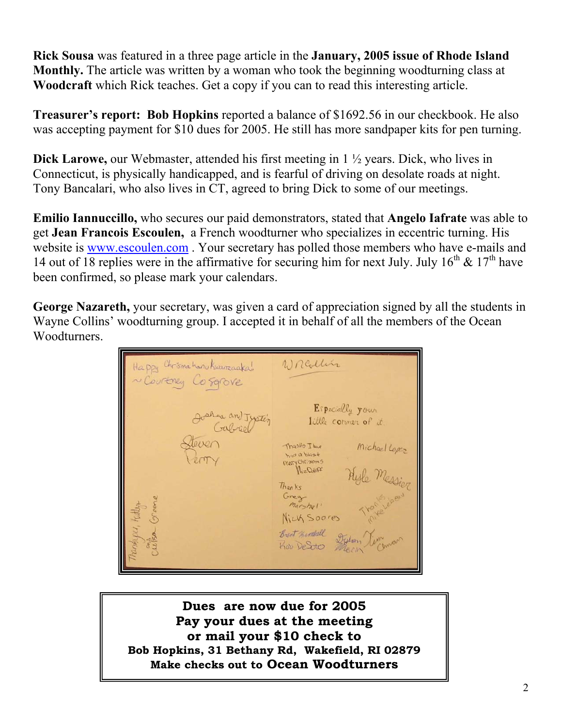**Rick Sousa** was featured in a three page article in the **January, 2005 issue of Rhode Island Monthly.** The article was written by a woman who took the beginning woodturning class at **Woodcraft** which Rick teaches. Get a copy if you can to read this interesting article.

**Treasurer's report: Bob Hopkins** reported a balance of \$1692.56 in our checkbook. He also was accepting payment for \$10 dues for 2005. He still has more sandpaper kits for pen turning.

**Dick Larowe,** our Webmaster, attended his first meeting in 1 ½ years. Dick, who lives in Connecticut, is physically handicapped, and is fearful of driving on desolate roads at night. Tony Bancalari, who also lives in CT, agreed to bring Dick to some of our meetings.

**Emilio Iannuccillo,** who secures our paid demonstrators, stated that **Angelo Iafrate** was able to get **Jean Francois Escoulen,** a French woodturner who specializes in eccentric turning. His website is [www.escoulen.com](http://www.escoulen.com/) . Your secretary has polled those members who have e-mails and 14 out of 18 replies were in the affirmative for securing him for next July. July  $16<sup>th</sup>$  &  $17<sup>th</sup>$  have been confirmed, so please mark your calendars.

**George Nazareth,** your secretary, was given a card of appreciation signed by all the students in Wayne Collins' woodturning group. I accepted it in behalf of all the members of the Ocean Woodturners.

W realling Happy Chrismahanu Kurumaakal ~ Courtney Cosarove Especially your Joshua and Typtin little corner of it Michael Lopez<br>Hyle Messing Thanks I bue had a blast<br>Mary Christmes Thanks Greg marshal' Nick Soores Brent mindall

**Dues are now due for 2005 Pay your dues at the meeting or mail your \$10 check to Bob Hopkins, 31 Bethany Rd, Wakefield, RI 02879 Make checks out to Ocean Woodturners**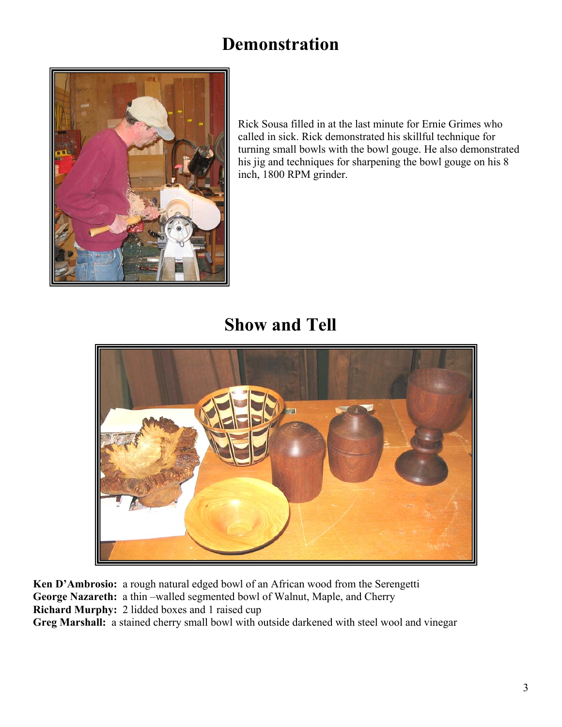## **Demonstration**



Rick Sousa filled in at the last minute for Ernie Grimes who called in sick. Rick demonstrated his skillful technique for turning small bowls with the bowl gouge. He also demonstrated his jig and techniques for sharpening the bowl gouge on his 8 inch, 1800 RP M grinder.

**Show and Tell** 



**Ken D'Ambrosio:** a rough natural edged bowl of an African wood from the Serengetti **George Nazareth:** a thin –walled segmented bowl of Walnut, Maple, and Cherry **Richard Murphy:** 2 lidded boxes and 1 raised cup **Greg Marshall:** a stained cherry small bowl with outside darkened with steel wool and vinegar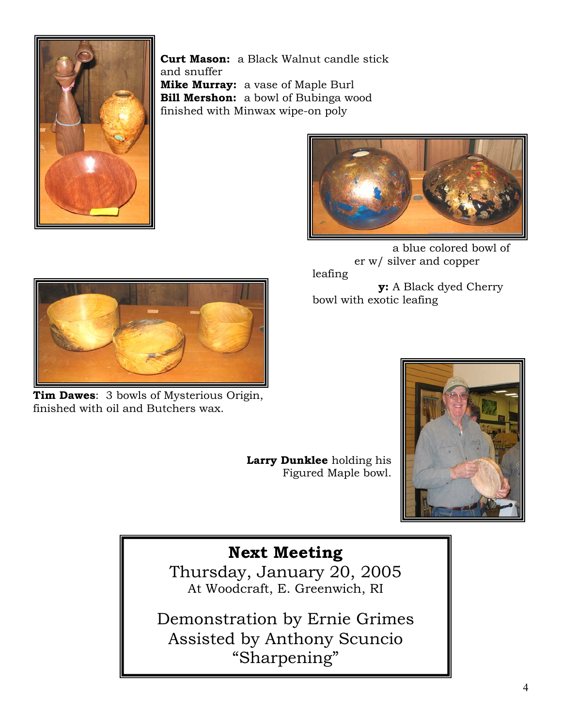

**Curt Mason:** a Black Walnut candle stick and snuffer **Mike Murray:** a vase of Maple Burl **Bill Mershon:** a bowl of Bubinga wood finished with Minwax wipe-on poly



**Mike Murra** a blue colored bowl of er w/ silver and copper leafing **y:** A Black dyed Cherry bowl with exotic leafing



finished with oil and Butchers wax. **Tim Dawes**: 3 bowls of Mysterious Origin,

Figured Maple bowl. **Larry Dunklee** holding his



## **Next Meeting**

Thursday, January 20, 2005 At Woodcraft, E . Greenwich, RI

Demonstration by Ernie Grimes Assisted by Anthony Scuncio "Sharpening"